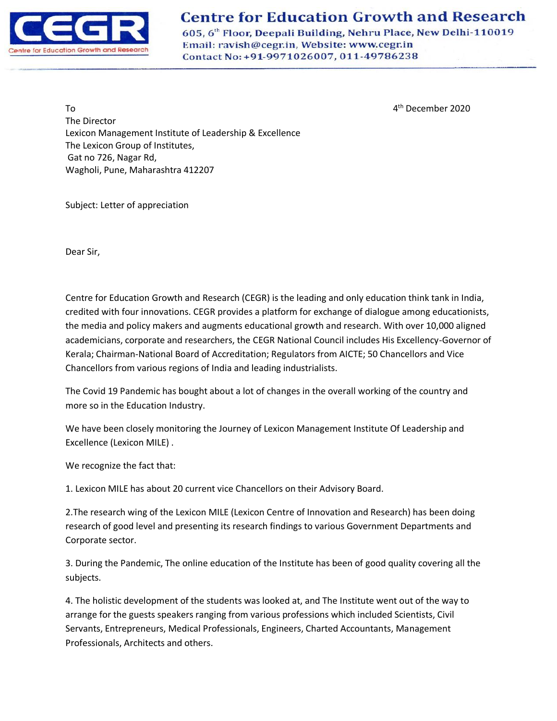

## **Centre for Education Growth and Research**

605, 6th Floor, Deepali Building, Nehru Place, New Delhi-110019 Email: ravish@cegr.in, Website: www.cegr.in Contact No: +91-9971026007, 011-49786238

4<sup>th</sup> December 2020

 $\overline{a}$ The Director Lexicon Management Institute of Leadership & Excellence The Lexicon Group of Institutes, Gat no 726, Nagar Rd, Wagholi, Pune, Maharashtra 412207

Subject: Letter of appreciation

Dear Sir,

Centre for Education Growth and Research (CEGR) is the leading and only education think tank in India, credited with four innovations. CEGR provides a platform for exchange of dialogue among educationists, the media and policy makers and augments educational growth and research. With over 10,000 aligned academicians, corporate and researchers, the CEGR National Council includes His Excellency-Governor of Kerala; Chairman-National Board of Accreditation; Regulators from AICTE; 50 Chancellors and Vice Chancellors from various regions of India and leading industrialists.

The Covid 19 Pandemic has bought about a lot of changes in the overall working of the country and more so in the Education Industry.

We have been closely monitoring the Journey of Lexicon Management Institute Of Leadership and Excellence (Lexicon MILE) .

We recognize the fact that:

1. Lexicon MILE has about 20 current vice Chancellors on their Advisory Board.

2.The research wing of the Lexicon MILE (Lexicon Centre of Innovation and Research) has been doing research of good level and presenting its research findings to various Government Departments and Corporate sector.

3. During the Pandemic, The online education of the Institute has been of good quality covering all the subjects.

4. The holistic development of the students was looked at, and The Institute went out of the way to arrange for the guests speakers ranging from various professions which included Scientists, Civil Servants, Entrepreneurs, Medical Professionals, Engineers, Charted Accountants, Management Professionals, Architects and others.